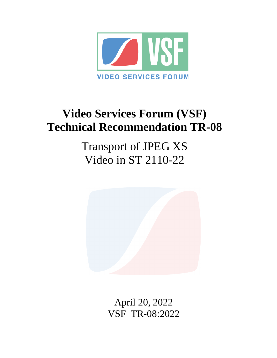

# **Video Services Forum (VSF) Technical Recommendation TR-08**

Transport of JPEG XS Video in ST 2110-22



April 20, 2022 VSF\_TR-08:2022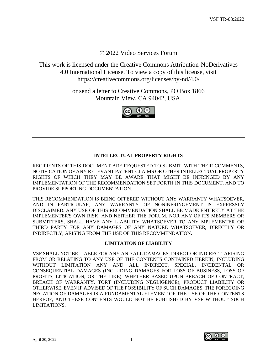© 2022 Video Services Forum

This work is licensed under the Creative Commons Attribution-NoDerivatives 4.0 International License. To view a copy of this license, visit https://creativecommons.org/licenses/by-nd/4.0/

> or send a letter to Creative Commons, PO Box 1866 Mountain View, CA 94042, USA.



# **INTELLECTUAL PROPERTY RIGHTS**

RECIPIENTS OF THIS DOCUMENT ARE REQUESTED TO SUBMIT, WITH THEIR COMMENTS, NOTIFICATION OF ANY RELEVANT PATENT CLAIMS OR OTHER INTELLECTUAL PROPERTY RIGHTS OF WHICH THEY MAY BE AWARE THAT MIGHT BE INFRINGED BY ANY IMPLEMENTATION OF THE RECOMMENDATION SET FORTH IN THIS DOCUMENT, AND TO PROVIDE SUPPORTING DOCUMENTATION.

THIS RECOMMENDATION IS BEING OFFERED WITHOUT ANY WARRANTY WHATSOEVER, AND IN PARTICULAR, ANY WARRANTY OF NONINFRINGEMENT IS EXPRESSLY DISCLAIMED. ANY USE OF THIS RECOMMENDATION SHALL BE MADE ENTIRELY AT THE IMPLEMENTER'S OWN RISK, AND NEITHER THE FORUM, NOR ANY OF ITS MEMBERS OR SUBMITTERS, SHALL HAVE ANY LIABILITY WHATSOEVER TO ANY MPLEMENTER OR THIRD PARTY FOR ANY DAMAGES OF ANY NATURE WHATSOEVER, DIRECTLY OR INDIRECTLY, ARISING FROM THE USE OF THIS RECOMMENDATION.

# **LIMITATION OF LIABILITY**

VSF SHALL NOT BE LIABLE FOR ANY AND ALL DAMAGES, DIRECT OR INDIRECT, ARISING FROM OR RELATING TO ANY USE OF THE CONTENTS CONTAINED HEREIN, INCLUDING WITHOUT LIMITATION ANY AND ALL INDIRECT, SPECIAL, INCIDENTAL OR CONSEQUENTIAL DAMAGES (INCLUDING DAMAGES FOR LOSS OF BUSINESS, LOSS OF PROFITS, LITIGATION, OR THE LIKE), WHETHER BASED UPON BREACH OF CONTRACT, BREACH OF WARRANTY, TORT (INCLUDING NEGLIGENCE), PRODUCT LIABILITY OR OTHERWISE, EVEN IF ADVISED OF THE POSSIBILITY OF SUCH DAMAGES. THE FOREGOING NEGATION OF DAMAGES IS A FUNDAMENTAL ELEMENT OF THE USE OF THE CONTENTS HEREOF, AND THESE CONTENTS WOULD NOT BE PUBLISHED BY VSF WITHOUT SUCH LIMITATIONS.

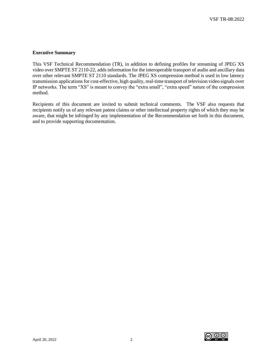#### **Executive Summary**

This VSF Technical Recommendation (TR), in addition to defining profiles for streaming of JPEG XS video over SMPTE ST 2110-22, adds information for the interoperable transport of audio and ancillary data over other relevant SMPTE ST 2110 standards. The JPEG XS compression method is used in low latency transmission applications for cost-effective, high quality, real-time transport of television video signals over IP networks. The term "XS" is meant to convey the "extra small", "extra speed" nature of the compression method.

Recipients of this document are invited to submit technical comments. The VSF also requests that recipients notify us of any relevant patent claims or other intellectual property rights of which they may be aware, that might be infringed by any implementation of the Recommendation set forth in this document, and to provide supporting documentation.

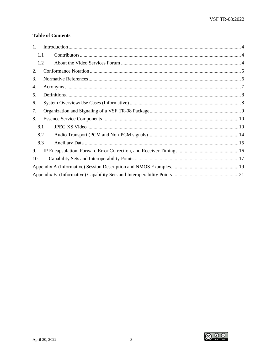# **Table of Contents**

| $1_{\cdot}$ |  |  |  |  |  |
|-------------|--|--|--|--|--|
| 1.1         |  |  |  |  |  |
| 1.2         |  |  |  |  |  |
| 2.          |  |  |  |  |  |
| 3.          |  |  |  |  |  |
| 4.          |  |  |  |  |  |
| 5.          |  |  |  |  |  |
| 6.          |  |  |  |  |  |
| 7.          |  |  |  |  |  |
| 8.          |  |  |  |  |  |
| 8.1         |  |  |  |  |  |
| 8.2         |  |  |  |  |  |
| 8.3         |  |  |  |  |  |
| 9.          |  |  |  |  |  |
| 10.         |  |  |  |  |  |
|             |  |  |  |  |  |
|             |  |  |  |  |  |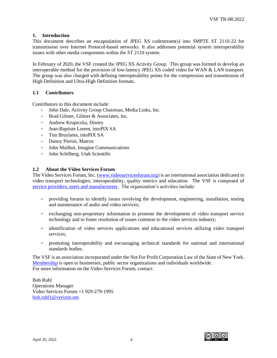## <span id="page-4-0"></span>**1. Introduction**

This document describes an encapsulation of JPEG XS codestream(s) into SMPTE ST 2110-22 for transmission over Internet Protocol-based networks. It also addresses potential system interoperability issues with other media components within the ST 2110 system.

In February of 2020, the VSF created the JPEG XS Activity Group. This group was formed to develop an interoperable method for the provision of low-latency JPEG XS coded video for WAN & LAN transport. The group was also charged with defining interoperability points for the compression and transmission of High Definition and Ultra-High Definition formats.

## <span id="page-4-1"></span>**1.1 Contributors**

Contributors to this document include:

- − John Dale, Activity Group Chairman, Media Links, Inc.
- − Brad Gilmer, Gilmer & Associates, Inc.
- − Andrew Krupiczka, Disney
- − Jean-Baptiste Lorent, intoPIX SA
- − Tim Bruylants, intoPIX SA
- − Danny Pierini, Matrox
- − John Mailhot, Imagine Communications
- − John Schilberg, Utah Scientific

## <span id="page-4-2"></span>**1.2 About the Video Services Forum**

The Video Services Forum, Inc. [\(www.videoservicesforum.org\)](http://www.videoservicesforum.org/) is an international association dedicated to video transport technologies, interoperability, quality metrics and education. The VSF is composed of [service providers, users and manufacturers.](http://www.videoservicesforum.org/members/members.htm) The organization's activities include:

- − providing forums to identify issues involving the development, engineering, installation, testing and maintenance of audio and video services;
- − exchanging non-proprietary information to promote the development of video transport service technology and to foster resolution of issues common to the video services industry;
- − identification of video services applications and educational services utilizing video transport services;
- − promoting interoperability and encouraging technical standards for national and international standards bodies.

The VSF is an association incorporated under the Not For Profit Corporation Law of the State of New York. [Membership](http://www.videoservicesforum.org/membership/membership.htm) is open to businesses, public sector organizations and individuals worldwide. For more information on the Video Services Forum, contact:

Bob Ruhl Operations Manager Video Services Forum +1 929-279-1995 [bob.ruhl1@verizon.net.](mailto:bob.ruhl1@verizon.net)

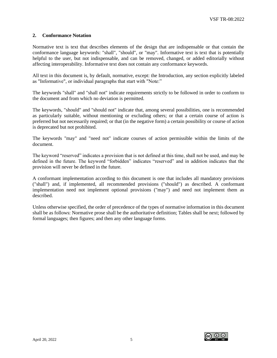#### <span id="page-5-0"></span>**2. Conformance Notation**

Normative text is text that describes elements of the design that are indispensable or that contain the conformance language keywords: "shall", "should", or "may". Informative text is text that is potentially helpful to the user, but not indispensable, and can be removed, changed, or added editorially without affecting interoperability. Informative text does not contain any conformance keywords.

All text in this document is, by default, normative, except: the Introduction, any section explicitly labeled as "Informative", or individual paragraphs that start with "Note:"

The keywords "shall" and "shall not" indicate requirements strictly to be followed in order to conform to the document and from which no deviation is permitted.

The keywords, "should" and "should not" indicate that, among several possibilities, one is recommended as particularly suitable, without mentioning or excluding others; or that a certain course of action is preferred but not necessarily required; or that (in the negative form) a certain possibility or course of action is deprecated but not prohibited.

The keywords "may" and "need not" indicate courses of action permissible within the limits of the document.

The keyword "reserved" indicates a provision that is not defined at this time, shall not be used, and may be defined in the future. The keyword "forbidden" indicates "reserved" and in addition indicates that the provision will never be defined in the future.

A conformant implementation according to this document is one that includes all mandatory provisions ("shall") and, if implemented, all recommended provisions ("should") as described. A conformant implementation need not implement optional provisions ("may") and need not implement them as described.

Unless otherwise specified, the order of precedence of the types of normative information in this document shall be as follows: Normative prose shall be the authoritative definition; Tables shall be next; followed by formal languages; then figures; and then any other language forms.

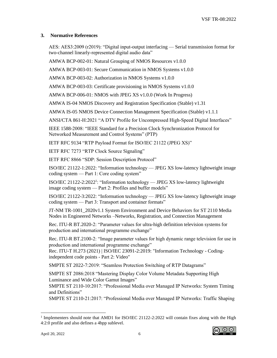## <span id="page-6-0"></span>**3. Normative References**

AES: AES3:2009 (r2019): "Digital input-output interfacing — Serial transmission format for two-channel linearly-represented digital audio data"

AMWA BCP-002-01: Natural Grouping of NMOS Resources v1.0.0

AMWA BCP-003-01: Secure Communication in NMOS Systems v1.0.0

AMWA BCP-003-02: Authorization in NMOS Systems v1.0.0

AMWA BCP-003-03: Certificate provisioning in NMOS Systems v1.0.0

AMWA BCP-006-01: NMOS with JPEG XS v1.0.0 (Work In Progress)

AMWA IS-04 NMOS Discovery and Registration Specification (Stable) v1.31

AMWA IS-05 NMOS Device Connection Management Specification (Stable) v1.1.1

ANSI/CTA 861-H:2021 "A DTV Profile for Uncompressed High-Speed Digital Interfaces"

IEEE 1588-2008: "IEEE Standard for a Precision Clock Synchronization Protocol for Networked Measurement and Control Systems" (PTP)

IETF RFC 9134 "RTP Payload Format for ISO/IEC 21122 (JPEG XS)"

IETF RFC 7273 "RTP Clock Source Signaling"

IETF RFC 8866 "SDP: Session Description Protocol"

ISO/IEC 21122-1:2022: "Information technology — JPEG XS low-latency lightweight image coding system — Part 1: Core coding system"

ISO/IEC 21122-2:2022<sup>1</sup> : "Information technology — JPEG XS low-latency lightweight image coding system — Part 2: Profiles and buffer models"

ISO/IEC 21122-3:2022: "Information technology — JPEG XS low-latency lightweight image coding system — Part 3: Transport and container formats"

JT-NM TR-1001\_2020v1.1 System Environment and Device Behaviors for ST 2110 Media Nodes in Engineered Networks –Networks, Registration, and Connection Management

Rec. ITU-R BT.2020-2: "Parameter values for ultra-high definition television systems for production and international programme exchange"

Rec. ITU-R BT.2100-2: "Image parameter values for high dynamic range television for use in production and international programme exchange"

Rec. ITU-T H.273 (2021) | ISO/IEC 23091-2:2019: "Information Technology - Codingindependent code points - Part 2: Video"

SMPTE ST 2022-7:2019: "Seamless Protection Switching of RTP Datagrams"

SMPTE ST 2086:2018 "Mastering Display Color Volume Metadata Supporting High Luminance and Wide Color Gamut Images"

SMPTE ST 2110-10:2017: "Professional Media over Managed IP Networks: System Timing and Definitions"

SMPTE ST 2110-21:2017: "Professional Media over Managed IP Networks: Traffic Shaping

<sup>&</sup>lt;sup>1</sup> Implementers should note that AMD1 for ISO/IEC 21122-2:2022 will contain fixes along with the High 4:2:0 profile and also defines a 4bpp sublevel.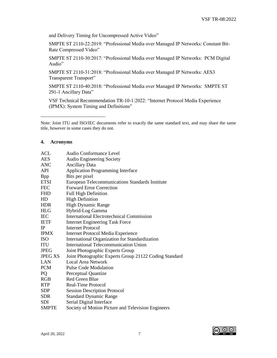and Delivery Timing for Uncompressed Active Video"

SMPTE ST 2110-22:2019: "Professional Media over Managed IP Networks: Constant Bit-Rate Compressed Video"

SMPTE ST 2110-30:2017: "Professional Media over Managed IP Networks: PCM Digital Audio"

SMPTE ST 2110-31:2018: "Professional Media over Managed IP Networks: AES3 Transparent Transport"

SMPTE ST 2110-40:2018: "Professional Media over Managed IP Networks: SMPTE ST 291-1 Ancillary Data"

VSF Technical Recommendation TR-10-1:2022: "Internet Protocol Media Experience (IPMX): System Timing and Definitions"

#### <span id="page-7-0"></span>**4. Acronyms**

\_\_\_\_\_\_\_\_\_\_\_\_\_\_\_\_\_\_\_\_\_\_\_\_\_\_

| <b>ACL</b>     | Audio Conformance Level                                |
|----------------|--------------------------------------------------------|
| <b>AES</b>     | <b>Audio Engineering Society</b>                       |
| <b>ANC</b>     | <b>Ancillary Data</b>                                  |
| <b>API</b>     | <b>Application Programming Interface</b>               |
| <b>B</b> pp    | Bits per pixel                                         |
| <b>ETSI</b>    | European Telecommunications Standards Institute        |
| <b>FEC</b>     | <b>Forward Error Correction</b>                        |
| <b>FHD</b>     | <b>Full High Definition</b>                            |
| HD             | <b>High Definition</b>                                 |
| <b>HDR</b>     | <b>High Dynamic Range</b>                              |
| <b>HLG</b>     | Hybrid-Log Gamma                                       |
| <b>IEC</b>     | <b>International Electrotechnical Commission</b>       |
| <b>IETF</b>    | <b>Internet Engineering Task Force</b>                 |
| IP             | <b>Internet Protocol</b>                               |
| <b>IPMX</b>    | <b>Internet Protocol Media Experience</b>              |
| <b>ISO</b>     | International Organization for Standardization         |
| <b>ITU</b>     | <b>International Telecommunication Union</b>           |
| <b>JPEG</b>    | Joint Photographic Experts Group                       |
| <b>JPEG XS</b> | Joint Photographic Experts Group 21122 Coding Standard |
| LAN            | <b>Local Area Network</b>                              |
| <b>PCM</b>     | Pulse Code Modulation                                  |
| PQ             | Perceptual Quantize                                    |
| <b>RGB</b>     | Red Green Blue                                         |
| <b>RTP</b>     | Real-Time Protocol                                     |
| <b>SDP</b>     | <b>Session Description Protocol</b>                    |
| <b>SDR</b>     | <b>Standard Dynamic Range</b>                          |
| <b>SDI</b>     | Serial Digital Interface                               |
| SMPTE          | Society of Motion Picture and Television Engineers     |

Note: Joint ITU and ISO/IEC documents refer to exactly the same standard text, and may share the same title, however in some cases they do not.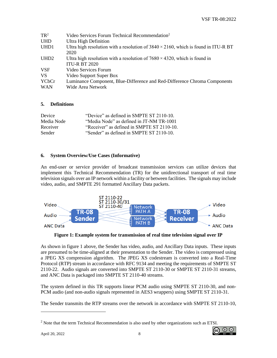| $TR^2$           | Video Services Forum Technical Recommendation <sup>2</sup>                                 |
|------------------|--------------------------------------------------------------------------------------------|
| <b>UHD</b>       | Ultra High Definition                                                                      |
| UHD1             | Ultra high resolution with a resolution of $3840 \times 2160$ , which is found in ITU-R BT |
|                  | 2020                                                                                       |
| UHD <sub>2</sub> | Ultra high resolution with a resolution of $7680 \times 4320$ , which is found in          |
|                  | <b>ITU-R BT 2020</b>                                                                       |
| <b>VSF</b>       | Video Services Forum                                                                       |
| <b>VS</b>        | Video Support Super Box                                                                    |
| YCbCr            | Luminance Component, Blue-Difference and Red-Difference Chroma Components                  |
| <b>WAN</b>       | Wide Area Network                                                                          |

## <span id="page-8-0"></span>**5. Definitions**

| <b>Device</b> | "Device" as defined in SMPTE ST 2110-10.   |
|---------------|--------------------------------------------|
| Media Node    | "Media Node" as defined in JT-NM TR-1001   |
| Receiver      | "Receiver" as defined in SMPTE ST 2110-10. |
| <b>Sender</b> | "Sender" as defined in SMPTE ST 2110-10.   |

## <span id="page-8-1"></span>**6. System Overview/Use Cases (Informative)**

An end-user or service provider of broadcast transmission services can utilize devices that implement this Technical Recommendation (TR) for the unidirectional transport of real time television signals over an IP network within a facility or between facilities. The signals may include video, audio, and SMPTE 291 formatted Ancillary Data packets.



**Figure 1: Example system for transmission of real time television signal over IP**

As shown in figure 1 above, the Sender has video, audio, and Ancillary Data inputs. These inputs are presumed to be time-aligned at their presentation to the Sender. The video is compressed using a JPEG XS compression algorithm. The JPEG XS codestream is converted into a Real-Time Protocol (RTP) stream in accordance with RFC 9134 and meeting the requirements of SMPTE ST 2110-22. Audio signals are converted into SMPTE ST 2110-30 or SMPTE ST 2110-31 streams, and ANC Data is packaged into SMPTE ST 2110-40 streams.

The system defined in this TR supports linear PCM audio using SMPTE ST 2110-30, and non-PCM audio (and non-audio signals represented in AES3 wrappers) using SMPTE ST 2110-31.

The Sender transmits the RTP streams over the network in accordance with SMPTE ST 2110-10,

 $<sup>2</sup>$  Note that the term Technical Recommendation is also used by other organizations such as ETSI.</sup>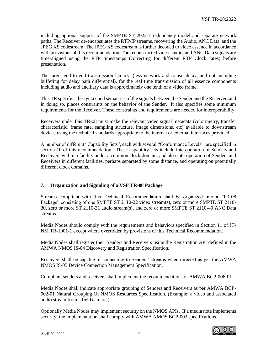including optional support of the SMPTE ST 2022-7 redundancy model and separate network paths. The Receiver de-encapsulates the RTP/IP streams, recovering the Audio, ANC Data, and the JPEG XS codestream. The JPEG XS codestream is further decoded to video essence in accordance with provisions of this recommendation. The reconstructed video, audio, and ANC Data signals are time-aligned using the RTP timestamps (correcting for different RTP Clock rates) before presentation.

The target end to end transmission latency, (less network and transit delay, and not including buffering for delay path differential), for the real time transmission of all essence components including audio and ancillary data is approximately one tenth of a video frame.

This TR specifies the syntax and semantics of the signals between the Sender and the Receiver, and in doing so, places constraints on the behavior of the Sender. It also specifies some minimum requirements for the Receiver. These constraints and requirements are needed for interoperability.

Receivers under this TR-08 must make the relevant video signal metadata (colorimetry, transfer characteristic, frame rate, sampling structure, image dimensions, etc) available to downstream devices using the technical standards appropriate to the internal or external interfaces provided.

A number of different "Capability Sets", each with several "Conformance Levels", are specified in section 10 of this recommendation. These capability sets include interoperation of Senders and Receivers within a facility under a common clock domain, and also interoperation of Senders and Receivers in different facilities, perhaps separated by some distance, and operating on potentially different clock domains.

## <span id="page-9-0"></span>**7. Organization and Signaling of a VSF TR-08 Package**

Streams compliant with this Technical Recommendation shall be organized into a "TR-08 Package" consisting of one SMPTE ST 2110-22 video stream(s), zero or more SMPTE ST 2110- 30, zero or more ST 2110-31 audio stream(s), and zero or more SMPTE ST 2110-40 ANC Data streams.

Media Nodes should comply with the requirements and behaviors specified in Section 11 of JT-NM TR-1001-1 except where overridden by provisions of this Technical Recommendation.

Media Nodes shall register their Senders and Receivers using the Registration API defined in the AMWA NMOS IS-04 Discovery and Registration Specification.

Receivers shall be capable of connecting to Senders' streams when directed as per the AMWA NMOS IS-05 Device Connection Management Specification.

Compliant senders and receivers shall implement the recommendations of AMWA BCP-006-01.

Media Nodes shall indicate appropriate grouping of Senders and Receivers as per AMWA BCP-002-01 Natural Grouping Of NMOS Resources Specification. (Example: a video and associated audio stream from a field camera.)

Optionally Media Nodes may implement security on the NMOS APIs. If a media note implements security, the implementation shall comply with AMWA NMOS BCP-003 specifications.

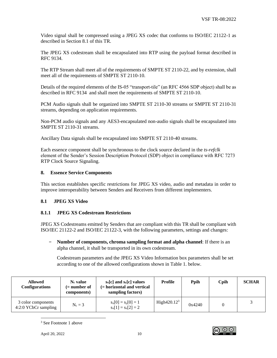Video signal shall be compressed using a JPEG XS codec that conforms to ISO/IEC 21122-1 as described in Section 8.1 of this TR.

The JPEG XS codestream shall be encapsulated into RTP using the payload format described in RFC 9134.

The RTP Stream shall meet all of the requirements of SMPTE ST 2110-22, and by extension, shall meet all of the requirements of SMPTE ST 2110-10.

Details of the required elements of the IS-05 "transport-tile" (an RFC 4566 SDP object) shall be as described in RFC 9134 and shall meet the requirements of SMPTE ST 2110-10.

PCM Audio signals shall be organized into SMPTE ST 2110-30 streams or SMPTE ST 2110-31 streams, depending on application requirements.

Non-PCM audio signals and any AES3-encapsulated non-audio signals shall be encapsulated into SMPTE ST 2110-31 streams.

Ancillary Data signals shall be encapsulated into SMPTE ST 2110-40 streams.

Each essence component shall be synchronous to the clock source declared in the *ts-refclk* element of the Sender's Session Description Protocol (SDP) object in compliance with RFC 7273 RTP Clock Source Signaling.

## <span id="page-10-0"></span>**8. Essence Service Components**

This section establishes specific restrictions for JPEG XS video, audio and metadata in order to improve interoperability between Senders and Receivers from different implementers.

## <span id="page-10-1"></span>**8.1 JPEG XS Video**

## **8.1.1 JPEG XS Codestream Restrictions**

JPEG XS Codestreams emitted by Senders that are compliant with this TR shall be compliant with ISO/IEC 21122-2 and ISO/IEC 21122-3, with the following parameters, settings and changes:

− **Number of components, chroma sampling format and alpha channel**: If there is an alpha channel, it shall be transported in its own codestream.

Codestream parameters and the JPEG XS Video Information box parameters shall be set according to one of the allowed configurations shown in Table 1. below.

| <b>Allowed</b><br><b>Configurations</b>    | $N_c$ value<br>(= number of<br>components) | $s_x[c]$ and $s_y[c]$ values<br>(= horizontal and vertical<br>sampling factors) | Profile        | Ppih   | Cpih | <b>SCHAR</b> |
|--------------------------------------------|--------------------------------------------|---------------------------------------------------------------------------------|----------------|--------|------|--------------|
| 3 color components<br>4:2:0 YCbCr sampling | $N_c = 3$                                  | $s_x[0] = s_y[0] = 1$<br>$s_x[1] = s_x[2] = 2$                                  | High $420.123$ | 0x4240 |      |              |

<sup>3</sup> See Footnote 1 above

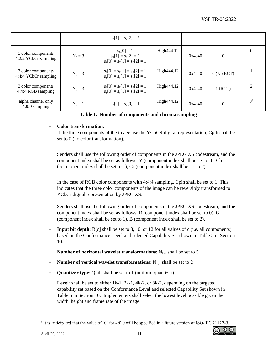|                                            |           | $s_y[1] = s_y[2] = 2$                                                   |            |        |              |                |
|--------------------------------------------|-----------|-------------------------------------------------------------------------|------------|--------|--------------|----------------|
| 3 color components<br>4:2:2 YCbCr sampling | $N_c = 3$ | $s_x[0] = 1$<br>$s_x[1] = s_x[2] = 2$<br>$s_v[0] = s_v[1] = s_v[2] = 1$ | High444.12 | 0x4a40 | $\theta$     | $\theta$       |
| 3 color components<br>4:4:4 YCbCr sampling | $N_c = 3$ | $s_x[0] = s_x[1] = s_x[2] = 1$<br>$s_v[0] = s_v[1] = s_v[2] = 1$        | High444.12 | 0x4a40 | $0$ (No RCT) |                |
| 3 color components<br>4:4:4 RGB sampling   | $N_c = 3$ | $s_x[0] = s_x[1] = s_x[2] = 1$<br>$s_y[0] = s_y[1] = s_y[2] = 1$        | High444.12 | 0x4a40 | 1 (RCT)      | $\mathfrak{D}$ |
| alpha channel only<br>$4:0:0$ sampling     | $N_c = 1$ | $s_x[0] = s_y[0] = 1$                                                   | High444.12 | 0x4a40 | $\theta$     | 0 <sup>4</sup> |

**Table 1. Number of components and chroma sampling**

## − **Color transformation**:

If the three components of the image use the YCbCR digital representation, Cpih shall be set to 0 (no color transformation).

Senders shall use the following order of components in the JPEG XS codestream, and the component index shall be set as follows: Y (component index shall be set to 0), Cb (component index shall be set to 1), Cr (component index shall be set to 2).

In the case of RGB color components with 4:4:4 sampling, Cpih shall be set to 1. This indicates that the three color components of the image can be reversibly transformed to YCbCr digital representation by JPEG XS.

Senders shall use the following order of components in the JPEG XS codestream, and the component index shall be set as follows: R (component index shall be set to 0), G (component index shall be set to 1), B (component index shall be set to 2).

- − **Input bit depth**: B[c] shall be set to 8, 10, or 12 for all values of c (i.e. all components) based on the Conformance Level and selected Capability Set shown in Table 5 in Section 10.
- − **Number of horizontal wavelet transformations**: NL,x shall be set to 5
- − **Number of vertical wavelet transformations**: N<sub>L,y</sub> shall be set to 2
- − **Quantizer type**: Qpih shall be set to 1 (uniform quantizer)
- − **Level**: shall be set to either 1k-1, 2k-1, 4k-2, or 8k-2, depending on the targeted capability set based on the Conformance Level and selected Capability Set shown in Table 5 in Section 10. Implementers shall select the lowest level possible given the width, height and frame rate of the image.



<sup>4</sup> It is anticipated that the value of '0' for 4:0:0 will be specified in a future version of ISO/IEC 21122-3.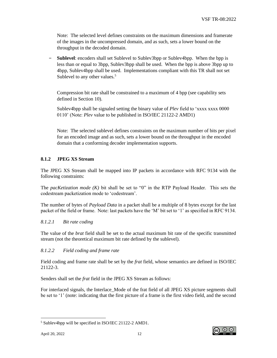Note: The selected level defines constraints on the maximum dimensions and framerate of the images in the uncompressed domain, and as such, sets a lower bound on the throughput in the decoded domain.

− **Sublevel**: encoders shall set Sublevel to Sublev3bpp or Sublev4bpp. When the bpp is less than or equal to 3bpp, Sublev3bpp shall be used. When the bpp is above 3bpp up to 4bpp, Sublev4bpp shall be used. Implementations compliant with this TR shall not set Sublevel to any other values.<sup>5</sup>

Compression bit rate shall be constrained to a maximum of 4 bpp (see capability sets defined in Section 10).

Sublev4bpp shall be signaled setting the binary value of *Plev* field to 'xxxx xxxx 0000 0110' (Note: *Plev* value to be published in ISO/IEC 21122-2 AMD1)

Note: The selected sublevel defines constraints on the maximum number of bits per pixel for an encoded image and as such, sets a lower bound on the throughput in the encoded domain that a conforming decoder implementation supports.

## **8.1.2 JPEG XS Stream**

The JPEG XS Stream shall be mapped into IP packets in accordance with RFC 9134 with the following constraints:

The *pacKetization mode (K)* bit shall be set to "0" in the RTP Payload Header. This sets the codestream packetization mode to 'codestream'.

The number of bytes of *Payload Data* in a packet shall be a multiple of 8 bytes except for the last packet of the field or frame. Note: last packets have the 'M' bit set to '1' as specified in RFC 9134.

#### *8.1.2.1 Bit rate coding*

The value of the *brat* field shall be set to the actual maximum bit rate of the specific transmitted stream (not the theoretical maximum bit rate defined by the sublevel).

#### *8.1.2.2 Field coding and frame rate*

Field coding and frame rate shall be set by the *frat* field, whose semantics are defined in ISO/IEC 21122-3.

Senders shall set the *frat* field in the JPEG XS Stream as follows:

For interlaced signals, the Interlace Mode of the frat field of all JPEG XS picture segments shall be set to '1' (note: indicating that the first picture of a frame is the first video field, and the second



<sup>5</sup> Sublev4bpp will be specified in ISO/IEC 21122-2 AMD1.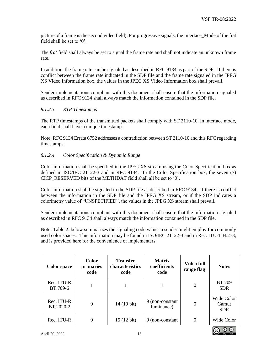picture of a frame is the second video field). For progressive signals, the Interlace\_Mode of the frat field shall be set to '0'.

The *frat* field shall always be set to signal the frame rate and shall not indicate an unknown frame rate.

In addition, the frame rate can be signaled as described in RFC 9134 as part of the SDP. If there is conflict between the frame rate indicated in the SDP file and the frame rate signaled in the JPEG XS Video Information box, the values in the JPEG XS Video Information box shall prevail.

Sender implementations compliant with this document shall ensure that the information signaled as described in RFC 9134 shall always match the information contained in the SDP file.

## *8.1.2.3 RTP Timestamps*

The RTP timestamps of the transmitted packets shall comply with ST 2110-10. In interlace mode, each field shall have a unique timestamp.

Note: RFC 9134 Errata 6752 addresses a contradiction between ST 2110-10 and this RFC regarding timestamps.

## *8.1.2.4 Color Specification & Dynamic Range*

Color information shall be specified in the JPEG XS stream using the Color Specification box as defined in ISO/IEC 21122-3 and in RFC 9134. In the Color Specification box, the seven (7) CICP\_RESERVED bits of the METHDAT field shall all be set to '0'.

Color information shall be signaled in the SDP file as described in RFC 9134. If there is conflict between the information in the SDP file and the JPEG XS stream, or if the SDP indicates a colorimetry value of "UNSPECIFIED", the values in the JPEG XS stream shall prevail.

Sender implementations compliant with this document shall ensure that the information signaled as described in RFC 9134 shall always match the information contained in the SDP file.

Note: Table 2. below summarizes the signaling code values a sender might employ for commonly used color spaces. This information may be found in ISO/IEC 21122-3 and in Rec. ITU-T H.273, and is provided here for the convenience of implementers.

| <b>Color</b> space      | <b>Color</b><br>primaries<br>code | <b>Transfer</b><br>characteristics<br>code | <b>Matrix</b><br>coefficients<br>code | Video full<br>range flag | <b>Notes</b>                      |
|-------------------------|-----------------------------------|--------------------------------------------|---------------------------------------|--------------------------|-----------------------------------|
| Rec. ITU-R<br>BT.709-6  |                                   |                                            |                                       | 0                        | <b>BT 709</b><br><b>SDR</b>       |
| Rec. ITU-R<br>BT.2020-2 | 9                                 | 14 (10 bit)                                | 9 (non-constant)<br>luminance)        |                          | Wide Color<br>Gamut<br><b>SDR</b> |
| Rec. ITU-R              | 9                                 | $15(12 \text{ bit})$                       | 9 (non-constant)                      |                          | Wide Color                        |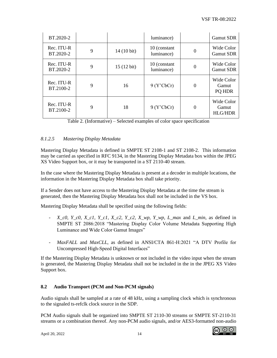| BT.2020-2               |   |                      | luminance)                 |          | <b>Gamut SDR</b>                      |
|-------------------------|---|----------------------|----------------------------|----------|---------------------------------------|
| Rec. ITU-R<br>BT.2020-2 | 9 | $14(10 \text{ bit})$ | 10 (constant<br>luminance) | $\Omega$ | Wide Color<br><b>Gamut SDR</b>        |
| Rec. ITU-R<br>BT.2020-2 | 9 | $15(12 \text{ bit})$ | 10 (constant<br>luminance) | $\Omega$ | Wide Color<br><b>Gamut SDR</b>        |
| Rec. ITU-R<br>BT.2100-2 | 9 | 16                   | 9 (Y'CbCr)                 | $\theta$ | Wide Color<br>Gamut<br>PQ HDR         |
| Rec. ITU-R<br>BT.2100-2 | 9 | 18                   | 9 (Y'CbCr)                 | $\Omega$ | Wide Color<br>Gamut<br><b>HLG/HDR</b> |

Table 2. (Informative) – Selected examples of color space specification

# *8.1.2.5 Mastering Display Metadata*

Mastering Display Metadata is defined in SMPTE ST 2108-1 and ST 2108-2. This information may be carried as specified in RFC 9134, in the Mastering Display Metadata box within the JPEG XS Video Support box, or it may be transported in a ST 2110-40 stream.

In the case where the Mastering Display Metadata is present at a decoder in multiple locations, the information in the Mastering Display Metadata box shall take priority.

If a Sender does not have access to the Mastering Display Metadata at the time the stream is generated, then the Mastering Display Metadata box shall not be included in the VS box.

Mastering Display Metadata shall be specified using the following fields:

- *X\_c0, Y\_c0, X\_c1, Y\_c1, X\_c2, Y\_c2, X\_wp, Y\_wp, L\_max* and *L\_min*, as defined in SMPTE ST 2086:2018 "Mastering Display Color Volume Metadata Supporting High Luminance and Wide Color Gamut Images"
- *MaxFALL* and *MaxCLL*, as defined in ANSI/CTA 861-H:2021 "A DTV Profile for Uncompressed High-Speed Digital Interfaces"

If the Mastering Display Metadata is unknown or not included in the video input when the stream is generated, the Mastering Display Metadata shall not be included in the in the JPEG XS Video Support box.

## <span id="page-14-0"></span>**8.2 Audio Transport (PCM and Non-PCM signals)**

Audio signals shall be sampled at a rate of 48 kHz, using a sampling clock which is synchronous to the signaled ts-refclk clock source in the SDP.

PCM Audio signals shall be organized into SMPTE ST 2110-30 streams or SMPTE ST-2110-31 streams or a combination thereof. Any non-PCM audio signals, and/or AES3-formatted non-audio

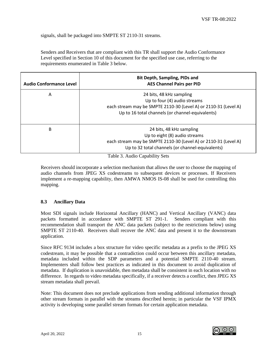signals, shall be packaged into SMPTE ST 2110-31 streams.

Senders and Receivers that are compliant with this TR shall support the Audio Conformance Level specified in Section 10 of this document for the specified use case, referring to the requirements enumerated in Table 3 below.

| <b>Audio Conformance Level</b> | <b>Bit Depth, Sampling, PIDs and</b><br><b>AES Channel Pairs per PID</b>                                                                                                         |
|--------------------------------|----------------------------------------------------------------------------------------------------------------------------------------------------------------------------------|
| A                              | 24 bits, 48 kHz sampling<br>Up to four (4) audio streams<br>each stream may be SMPTE 2110-30 (Level A) or 2110-31 (Level A)<br>Up to 16 total channels (or channel-equivalents)  |
| B                              | 24 bits, 48 kHz sampling<br>Up to eight (8) audio streams<br>each stream may be SMPTE 2110-30 (Level A) or 2110-31 (Level A)<br>Up to 32 total channels (or channel-equivalents) |

Table 3. Audio Capability Sets

Receivers should incorporate a selection mechanism that allows the user to choose the mapping of audio channels from JPEG XS codestreams to subsequent devices or processes. If Receivers implement a re-mapping capability, then AMWA NMOS IS-08 shall be used for controlling this mapping.

#### <span id="page-15-0"></span>**8.3 Ancillary Data**

Most SDI signals include Horizontal Ancillary (HANC) and Vertical Ancillary (VANC) data packets formatted in accordance with SMPTE ST 291-1. Senders compliant with this recommendation shall transport the ANC data packets (subject to the restrictions below) using SMPTE ST 2110-40. Receivers shall recover the ANC data and present it to the downstream application.

Since RFC 9134 includes a box structure for video specific metadata as a prefix to the JPEG XS codestream, it may be possible that a contradiction could occur between this ancillary metadata, metadata included within the SDP parameters and a potential SMPTE 2110-40 stream. Implementers shall follow best practices as indicated in this document to avoid duplication of metadata. If duplication is unavoidable, then metadata shall be consistent in each location with no difference. In regards to video metadata specifically, if a receiver detects a conflict, then JPEG XS stream metadata shall prevail.

Note: This document does not preclude applications from sending additional information through other stream formats in parallel with the streams described herein; in particular the VSF IPMX activity is developing some parallel stream formats for certain application metadata.

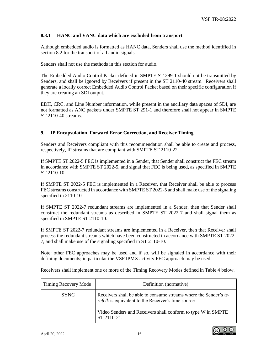## **8.3.1 HANC and VANC data which are excluded from transport**

Although embedded audio is formatted as HANC data, Senders shall use the method identified in section 8.2 for the transport of all audio signals.

Senders shall not use the methods in this section for audio.

The Embedded Audio Control Packet defined in SMPTE ST 299-1 should not be transmitted by Senders, and shall be ignored by Receivers if present in the ST 2110-40 stream. Receivers shall generate a locally correct Embedded Audio Control Packet based on their specific configuration if they are creating an SDI output.

EDH, CRC, and Line Number information, while present in the ancillary data spaces of SDI, are not formatted as ANC packets under SMPTE ST 291-1 and therefore shall not appear in SMPTE ST 2110-40 streams.

#### <span id="page-16-0"></span>**9. IP Encapsulation, Forward Error Correction, and Receiver Timing**

Senders and Receivers compliant with this recommendation shall be able to create and process, respectively, IP streams that are compliant with SMPTE ST 2110-22.

If SMPTE ST 2022-5 FEC is implemented in a Sender, that Sender shall construct the FEC stream in accordance with SMPTE ST 2022-5, and signal that FEC is being used, as specified in SMPTE ST 2110-10.

If SMPTE ST 2022-5 FEC is implemented in a Receiver, that Receiver shall be able to process FEC streams constructed in accordance with SMPTE ST 2022-5 and shall make use of the signaling specified in 2110-10.

If SMPTE ST 2022-7 redundant streams are implemented in a Sender, then that Sender shall construct the redundant streams as described in SMPTE ST 2022-7 and shall signal them as specified in SMPTE ST 2110-10.

If SMPTE ST 2022-7 redundant streams are implemented in a Receiver, then that Receiver shall process the redundant streams which have been constructed in accordance with SMPTE ST 2022- 7, and shall make use of the signaling specified in ST 2110-10.

Note: other FEC approaches may be used and if so, will be signaled in accordance with their defining documents; in particular the VSF IPMX activity FEC approach may be used.

Receivers shall implement one or more of the Timing Recovery Modes defined in Table 4 below.

| <b>Timing Recovery Mode</b> | Definition (normative)                                                                                                          |
|-----------------------------|---------------------------------------------------------------------------------------------------------------------------------|
| <b>SYNC</b>                 | Receivers shall be able to consume streams where the Sender's ts-<br><i>refelk</i> is equivalent to the Receiver's time source. |
|                             | Video Senders and Receivers shall conform to type W in SMPTE<br>ST 2110-21.                                                     |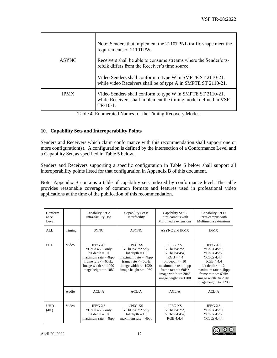|              | Note: Senders that implement the 2110TPNL traffic shape meet the<br>requirements of 2110TPW.                                                                                       |
|--------------|------------------------------------------------------------------------------------------------------------------------------------------------------------------------------------|
| <b>ASYNC</b> | Receivers shall be able to consume streams where the Sender's ts-<br>refelk differs from the Receiver's time source.<br>Video Senders shall conform to type W in SMPTE ST 2110-21, |
|              | while video Receivers shall be of type A in SMPTE ST 2110-21.                                                                                                                      |
| <b>IPMX</b>  | Video Senders shall conform to type W in SMPTE ST 2110-21,<br>while Receivers shall implement the timing model defined in VSF<br>$TR-10-1$ .                                       |

Table 4. Enumerated Names for the Timing Recovery Modes

#### <span id="page-17-0"></span>**10. Capability Sets and Interoperability Points**

Senders and Receivers which claim conformance with this recommendation shall support one or more configuration(s). A configuration is defined by the intersection of a Conformance Level and a Capability Set, as specified in Table 5 below.

Senders and Receivers supporting a specific configuration in Table 5 below shall support all interoperability points listed for that configuration in Appendix B of this document.

Note: Appendix B contains a table of capability sets indexed by conformance level. The table provides reasonable coverage of common formats and features used in professional video applications at the time of the publication of this recommendation.

| Conform-<br>ance<br>Level |        | Capability Set A<br>Intra-facility Use                                                                                                                           | Capability Set B<br>Interfacility                                                                                                                               | Capability Set C<br>Intra-campus with<br>Multimedia extensions                                                                                                                              | Capability Set D<br>Intra-campus with<br>Multimedia extensions                                                                                                                                                    |
|---------------------------|--------|------------------------------------------------------------------------------------------------------------------------------------------------------------------|-----------------------------------------------------------------------------------------------------------------------------------------------------------------|---------------------------------------------------------------------------------------------------------------------------------------------------------------------------------------------|-------------------------------------------------------------------------------------------------------------------------------------------------------------------------------------------------------------------|
| AI.                       | Timing | <b>SYNC</b>                                                                                                                                                      | <b>ASYNC</b>                                                                                                                                                    | <b>ASYNC</b> and <b>IPMX</b>                                                                                                                                                                | <b>IPMX</b>                                                                                                                                                                                                       |
| <b>FHD</b>                | Video  | <b>JPEG XS</b><br>YCbCr 4:2:2 only<br>bit depth $= 10$<br>maximum rate $=$ 4bpp<br>frame rate $\leq$ 60Hz<br>image width $\leq$ 1920<br>image height $\leq$ 1080 | <b>JPEG XS</b><br>YCbCr 4:2:2 only<br>bit depth $= 10$<br>maximum rate $= 4bp$<br>frame rate $\leq$ 60Hz<br>image width $\leq$ 1920<br>image height $\leq$ 1080 | <b>JPEG XS</b><br>YCbCr 4:2:2.<br>YCbCr 4:4:4.<br>RGB4.4.4<br>bit depth $\leq 10$<br>$maximum rate = 4bpp$<br>frame rate $\leq$ 60Hz<br>image width $\leq$ 2048<br>image height $\leq$ 1200 | <b>JPEG XS</b><br>YCbCr 4:2:0.<br>YCbCr 4:2:2.<br>YCbCr 4:4:4.<br>RGB4.4.4<br>bit depth $\leq 12$<br>maximum rate $=$ 4bpp<br>frame rate $\epsilon$ = 60Hz<br>image width $\leq$ 2048<br>image height $\leq$ 1200 |
|                           | Audio  | $ACI - A$                                                                                                                                                        | $ACI - A$                                                                                                                                                       | $ACI - A$                                                                                                                                                                                   | $ACI - A$                                                                                                                                                                                                         |
| UHD1<br>(4K)              | Video  | <b>JPEG XS</b><br>YCbCr 4:2:2 only<br>bit depth $= 10$<br>maximum rate $=$ 4bpp                                                                                  | <b>JPEG XS</b><br>YCbCr 4:2:2 only<br>bit depth $= 10$<br>maximum rate $=$ 4bpp                                                                                 | <b>JPEG XS</b><br>YCbCr 4:2:2,<br>YCbCr 4:4:4.<br>RGB 4:4:4                                                                                                                                 | <b>JPEG XS</b><br>YCbCr 4:2:0.<br>YCbCr 4:2:2,<br>YCbCr 4:4:4,                                                                                                                                                    |

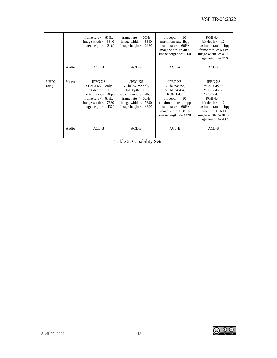|                          |       | frame rate $\leq$ 60Hz<br>image width $\leq$ 3840<br>image height $\leq$ 2160                                                                                   | frame rate $\leq$ 60Hz<br>image width $\leq$ 3840<br>image height $\leq$ 2160                                                                                    | bit depth $\leq 10$<br>maximum rate 4bpp<br>frame rate $\leq$ 60Hz<br>image width $\leq$ 4096<br>image height $\leq$ 2160                                                                    | RGB 4:4:4<br>bit depth $\leq 12$<br>maximum rate $= 4bp$<br>frame rate $\epsilon$ = 60Hz<br>image width $\leq$ 4096<br>image height $\leq$ 2160                                                                   |
|--------------------------|-------|-----------------------------------------------------------------------------------------------------------------------------------------------------------------|------------------------------------------------------------------------------------------------------------------------------------------------------------------|----------------------------------------------------------------------------------------------------------------------------------------------------------------------------------------------|-------------------------------------------------------------------------------------------------------------------------------------------------------------------------------------------------------------------|
|                          | Audio | $ACL-B$                                                                                                                                                         | $ACL-B$                                                                                                                                                          | $ACI - A$                                                                                                                                                                                    | $ACL-A$                                                                                                                                                                                                           |
| UHD <sub>2</sub><br>(8K) | Video | <b>JPEG XS</b><br>YCbCr 4:2:2 only<br>bit depth $= 10$<br>$maximum rate = 4bp$<br>frame rate $\leq$ 60Hz<br>image width $\leq$ 7680<br>image height $\leq$ 4320 | <b>JPEG XS</b><br>YCbCr 4:2:2 only<br>bit depth $= 10$<br>maximum rate $=$ 4bpp<br>frame rate $\leq$ 60Hz<br>image width $\leq$ 7680<br>image height $\leq$ 4320 | <b>JPEG XS</b><br>YCbCr 4:2:2,<br>YCbCr 4:4:4.<br>RGB 4:4:4<br>bit depth $\leq 10$<br>maximum rate $=$ 4bpp<br>frame rate $\leq$ 60Hz<br>image width $\leq$ 8192<br>image height $\leq$ 4320 | <b>JPEG XS</b><br>YCbCr 4:2:0.<br>YCbCr 4:2:2.<br>YCbCr 4:4:4.<br>RGB 4:4:4<br>bit depth $\leq 12$<br>$maximum rate = 4bp$<br>frame rate $\epsilon$ = 60Hz<br>image width $\leq 8192$<br>image height $\leq$ 4320 |
|                          | Audio | $ACL-B$                                                                                                                                                         | $ACL-B$                                                                                                                                                          | $ACL-B$                                                                                                                                                                                      | $ACL-B$                                                                                                                                                                                                           |

Table 5. Capability Sets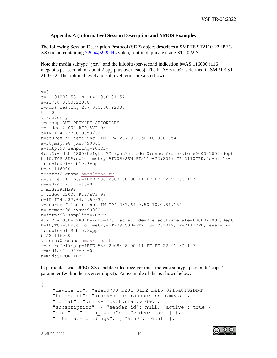#### <span id="page-19-0"></span>**Appendix A (Informative) Session Description and NMOS Examples**

The following Session Description Protocol (SDP) object describes a SMPTE ST2110-22 JPEG XS stream containing [720p@59.94Hz](mailto:720p@59.94Hz) video, sent in duplicate using ST 2022-7.

Note the media subtype "jxsv" and the kilobits-per-second indication b=AS:116000 (116 megabits per second, or about 2 bpp plus overheads). The b=AS:<rate> is defined in SMPTE ST 2110-22. The optional level and sublevel terms are also shown

```
v=0o=- 101202 53 IN IP4 10.0.81.54
s=237.0.0.50:22000
i=Nmos Testing 237.0.0.50:22000
t=0 0
a=recvonly
a=group:DUP PRIMARY SECONDARY
m=video 22000 RTP/AVP 98
c=IN IP4 237.0.0.50/32
a=source-filter: incl IN IP4 237.0.0.50 10.0.81.54
a=rtpmap:98 jxsv/90000
a=fmtp:98 sampling=YCbCr-
4:2:2;width=1280;height=720;packetmode=0;exactframerate=60000/1001;dept
h=10;TCS=SDR;colorimetry=BT709;SSN=ST2110-22:2019;TP=2110TPN;level=1k-
1;sublevel=Sublev3bpp
b=AS:116000
a=ssrc:0 cname:nmos@nmos.tv
a=ts-refclk:ptp=IEEE1588-2008:08-00-11-FF-FE-22-91-3C:127
a=mediaclk:direct=0
a=mid:PRIMARY
m=video 22000 RTP/AVP 98
c=IN IP4 237.64.0.50/32
a=source-filter: incl IN IP4 237.64.0.50 10.0.81.154
a=rtpmap:98 jxsv/90000
a=fmtp:98 sampling=YCbCr-
4:2:2;width=1280;height=720;packetmode=0;exactframerate=60000/1001;dept
h=10;TCS=SDR;colorimetry=BT709;SSN=ST2110-22:2019;TP=2110TPN;level=1k-
1;sublevel=Sublev3bpp
b=AS:116000
a=ssrc:0 cname:nmos@nmos.tv
a=ts-refclk:ptp=IEEE1588-2008:08-00-11-FF-FE-22-91-3C:127
a=mediaclk:direct=0
a=mid:SECONDARY
```
In particular, each JPEG XS capable video receiver must indicate subtype jxsv in its "caps" parameter (within the receiver object). An example of this is shown below.

```
{
     "device_id": "a2e5d793-b20c-31b2-baf5-0215a8f92bbd",
     "transport": "urn:x-nmos:transport:rtp.mcast",
     "format": "urn:x-nmos:format:video",
    "subscription": { "sender id": null, "active": true },
    "caps": {"media types": \begin{bmatrix} \text{``video/jxsv''} \end{bmatrix} },
    "interface bindings": [ "eth0", "eth1" ],
```
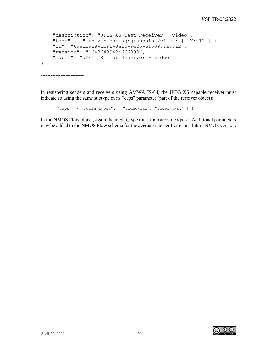```
 "description": "JPEG XS Test Receiver - video",
    "tags": { "urn:x-nmos:tag:grouphint/v1.0": [ "X:v1" ] },
    "id": "6aafb9e8-cb9f-3a15-9e25-6f50971ac7a2",
    "version": "1643643942:666000",
    "label": "JPEG XS Test Receiver - video"
}
```
--------------------------

In registering senders and receivers using AMWA IS-04, the JPEG XS capable receiver must indicate so using the same subtype in its "caps" parameter (part of the receiver object):

```
"caps": { "media types": [ "video/raw", "video/jxsv" ] }
```
In the NMOS Flow object, again the media\_type must indicate video/jxsv. Additional parameters may be added to the NMOS Flow schema for the average rate per frame in a future NMOS version.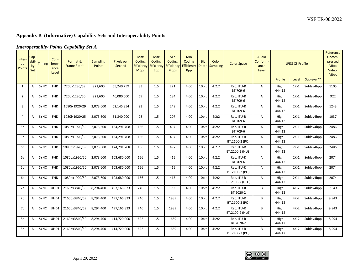# **Appendix B (Informative) Capability Sets and Interoperability Points**

<span id="page-21-0"></span>

|                               |                             |               |                                | nici opci ability 1 olitis Capability Sci 41 |                                  |                      |                                                          |                                                  |                                                   |                                           |            |                         |                               |                                    |                |                        |            |                                                                        |
|-------------------------------|-----------------------------|---------------|--------------------------------|----------------------------------------------|----------------------------------|----------------------|----------------------------------------------------------|--------------------------------------------------|---------------------------------------------------|-------------------------------------------|------------|-------------------------|-------------------------------|------------------------------------|----------------|------------------------|------------|------------------------------------------------------------------------|
| Inter-<br>op<br><b>Points</b> | Cap-<br>abil-<br>ity<br>Set | <b>Timing</b> | Con-<br>form-<br>ance<br>Level | Format &<br>Frame Rate*                      | <b>Sampling</b><br><b>Points</b> | Pixels per<br>Second | <b>Max</b><br>Coding<br><b>Efficiency</b><br><b>Mbps</b> | <b>Max</b><br>Coding<br>Efficiency<br><b>Bpp</b> | <b>Min</b><br>Coding<br>Efficiency<br><b>Mbps</b> | Min<br>Coding<br>Efficiency<br><b>Bpp</b> | <b>Bit</b> | Color<br>Depth Sampling | <b>Color Space</b>            | Audio<br>Conform-<br>ance<br>Level |                | <b>JPEG XS Profile</b> |            | Reference<br>Uncom-<br>pressed<br><b>Mbps</b><br>Video,<br><b>Mbps</b> |
|                               |                             |               |                                |                                              |                                  |                      |                                                          |                                                  |                                                   |                                           |            |                         |                               |                                    | Profile        | Level                  | Sublevel** |                                                                        |
| 1                             | A                           | SYNC          | FHD                            | 720px1280/59                                 | 921,600                          | 55,240,759           | 83                                                       | 1.5                                              | 221                                               | 4.00                                      | 10bit      | 4:2:2                   | Rec. ITU-R<br>BT.709-6        | A                                  | High<br>444.12 | $1K-1$                 | Sublev4bpp | 1105                                                                   |
| $\overline{2}$                | Α                           | SYNC          | FHD                            | 720px1280/50                                 | 921,600                          | 46,080,000           | 69                                                       | 1.5                                              | 184                                               | 4.00                                      | 10bit      | 4:2:2                   | Rec. ITU-R<br>BT.709-6        | A                                  | High<br>444.12 | $1K-1$                 | Sublev4bpp | 922                                                                    |
| 3                             | Α                           | SYNC          | FHD                            | 1080ix1920/29                                | 2,073,600                        | 62,145,854           | 93                                                       | 1.5                                              | 249                                               | 4.00                                      | 10bit      | 4:2:2                   | Rec. ITU-R<br>BT.709-6        | $\mathsf{A}$                       | High<br>444.12 | $2K-1$                 | Sublev4bpp | 1243                                                                   |
| $\overline{4}$                | Α                           | SYNC          | FHD                            | 1080ix1920/25                                | 2,073,600                        | 51,840,000           | 78                                                       | 1.5                                              | 207                                               | 4.00                                      | 10bit      | 4:2:2                   | Rec. ITU-R<br>BT.709-6        | $\mathsf{A}$                       | High<br>444.12 | $2K-1$                 | Sublev4bpp | 1037                                                                   |
| 5a                            | Α                           | SYNC          | FHD                            | 1080px1920/59                                | 2,073,600                        | 124,291,708          | 186                                                      | 1.5                                              | 497                                               | 4.00                                      | 10bit      | 4:2:2                   | Rec. ITU-R<br>BT.709-6        | $\mathsf{A}$                       | High<br>444.12 | $2K-1$                 | Sublev4bpp | 2486                                                                   |
| 5 <sub>b</sub>                | Α                           | SYNC          | <b>FHD</b>                     | 1080px1920/59                                | 2,073,600                        | 124,291,708          | 186                                                      | 1.5                                              | 497                                               | 4.00                                      | 10bit      | 4:2:2                   | Rec. ITU-R<br>BT.2100-2 (PQ)  | A                                  | High<br>444.12 | $2K-1$                 | Sublev4bpp | 2486                                                                   |
| 5c                            | Α                           | SYNC          | <b>FHD</b>                     | 1080px1920/59                                | 2,073,600                        | 124,291,708          | 186                                                      | 1.5                                              | 497                                               | 4.00                                      | 10bit      | 4:2:2                   | Rec. ITU-R<br>BT.2100-2 (HLG) | A                                  | High<br>444.12 | $2K-1$                 | Sublev4bpp | 2486                                                                   |
| 6a                            | $\overline{A}$              | SYNC          | FHD                            | 1080px1920/50                                | 2,073,600                        | 103,680,000          | 156                                                      | 1.5                                              | 415                                               | 4.00                                      | 10bit      | 4:2:2                   | Rec. ITU-R<br>BT.709-6        | A                                  | High<br>444.12 | $2K-1$                 | Sublev4bpp | 2074                                                                   |
| 6b                            | A                           | SYNC          | FHD                            | 1080px1920/50                                | 2,073,600                        | 103,680,000          | 156                                                      | 1.5                                              | 415                                               | 4.00                                      | 10bit      | 4:2:2                   | Rec. ITU-R<br>BT.2100-2 (PQ)  | A                                  | High<br>444.12 | $2K-1$                 | Sublev4bpp | 2074                                                                   |
| 6c                            | A                           | SYNC          | FHD                            | 1080px1920/50                                | 2,073,600                        | 103,680,000          | 156                                                      | 1.5                                              | 415                                               | 4.00                                      | 10bit      | 4:2:2                   | Rec. ITU-R<br>BT.2100-2 (HLG) | Α                                  | High<br>444.12 | $2K-1$                 | Sublev4bpp | 2074                                                                   |
| 7a                            | $\overline{A}$              |               | SYNC UHD1                      | 2160px3840/59                                | 8,294,400                        | 497,166,833          | 746                                                      | 1.5                                              | 1989                                              | 4.00                                      | 10bit      | 4:2:2                   | Rec. ITU-R<br>BT.2020-2       | B                                  | High<br>444.12 | $4K-2$                 | Sublev4bpp | 9,943                                                                  |
| 7b                            | $\mathsf{A}$                | <b>SYNC</b>   | UHD1                           | 2160px3840/59                                | 8,294,400                        | 497,166,833          | 746                                                      | 1.5                                              | 1989                                              | 4.00                                      | 10bit      | 4:2:2                   | Rec. ITU-R<br>BT.2100-2 (PQ)  | B                                  | High<br>444.12 | $4K-2$                 | Sublev4bpp | 9,943                                                                  |
| 7c                            | $\overline{A}$              | SYNC UHD1     |                                | 2160px3840/59                                | 8,294,400                        | 497,166,833          | 746                                                      | 1.5                                              | 1989                                              | 4.00                                      | 10bit      | 4:2:2                   | Rec. ITU-R<br>BT.2100-2 (HLG) | B                                  | High<br>444.12 | $4K-2$                 | Sublev4bpp | 9,943                                                                  |
| 8a                            | A                           | SYNC UHD1     |                                | 2160px3840/50                                | 8,294,400                        | 414,720,000          | 622                                                      | 1.5                                              | 1659                                              | 4.00                                      | 10bit      | 4:2:2                   | Rec. ITU-R<br>BT.2020-2       | B                                  | High<br>444.12 | $4K-2$                 | Sublev4bpp | 8,294                                                                  |
| 8b                            | A                           | <b>SYNC</b>   | UHD1                           | 2160px3840/50                                | 8,294,400                        | 414,720,000          | 622                                                      | 1.5                                              | 1659                                              | 4.00                                      | 10bit      | 4:2:2                   | Rec. ITU-R<br>BT.2100-2 (PQ)  | B                                  | High<br>444.12 | $4K-2$                 | Sublev4bpp | 8,294                                                                  |

# *Interoperability Points Capability Set A*

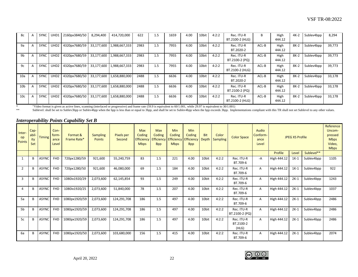| 8с              | $\overline{a}$ | <b>SYNC</b> | UHD1             | 2160px3840/50 | 8,294,400  | 414,720,000   | 622  | 1.5 | 1659 | 4.00 | 10bit | 4:2:2 | Rec. ITU-R<br>BT.2100-2 (HLG) | В       | High<br>444.12 | $4K-2$ | Sublev4bpp | 8,294  |
|-----------------|----------------|-------------|------------------|---------------|------------|---------------|------|-----|------|------|-------|-------|-------------------------------|---------|----------------|--------|------------|--------|
| 9a              |                | <b>SYNC</b> | UHD <sub>2</sub> | 4320px7680/59 | 33,177,600 | 1,988,667,333 | 2983 | 1.5 | 7955 | 4.00 | 10bit | 4:2:2 | Rec. ITU-R<br>BT.2020-2       | $ACL-B$ | High<br>444.12 | $8K-2$ | Sublev4bpp | 39,773 |
| 9b              |                | SYNC        | UHD <sub>2</sub> | 4320px7680/59 | 33,177,600 | 1,988,667,333 | 2983 | 1.5 | 7955 | 4.00 | 10bit | 4:2:2 | Rec. ITU-R<br>BT.2100-2 (PQ)  | ACL-B   | High<br>444.12 | $8K-2$ | Sublev4bpp | 39,773 |
| 9c              |                | SYNC        | UHD <sub>2</sub> | 4320px7680/59 | 33,177,600 | 1,988,667,333 | 2983 | 1.5 | 7955 | 4.00 | 10bit | 4:2:2 | Rec. ITU-R<br>BT.2100-2 (HLG) | $ACL-B$ | High<br>444.12 | $8K-2$ | Sublev4bpp | 39,773 |
| 10a             |                | SYNC        | UHD <sub>2</sub> | 4320px7680/50 | 33,177,600 | 1,658,880,000 | 2488 | 1.5 | 6636 | 4.00 | 10bit | 4:2:2 | Rec. ITU-R<br>BT.2020-2       | $ACL-B$ | High<br>444.12 | 8K-2   | Sublev4bpp | 33,178 |
| 10 <sub>b</sub> |                | <b>SYNC</b> | UHD <sub>2</sub> | 4320px7680/50 | 33,177,600 | 1,658,880,000 | 2488 | 1.5 | 6636 | 4.00 | 10bit | 4:2:2 | Rec. ITU-R<br>BT.2100-2 (PQ)  | ACL-B   | High<br>444.12 | 8K-2   | Sublev4bpp | 33,178 |
| 10 <sub>c</sub> |                | <b>SYNC</b> | UHD <sub>2</sub> | 4320px7680/50 | 33,177,600 | 1,658,880,000 | 2488 | 1.5 | 6636 | 4.00 | 10bit | 4:2:2 | Rec. ITU-R<br>BT.2100-2 (HLG) | $ACL-B$ | High<br>444.12 | $8K-2$ | Sublev4bpp | 33,178 |

\* "Video format is given as active lines, scanning (interlaced or progressive) and frame rate (59.9 is equivalent to 60/1.001, while 29.97 is equivalent to 30/1.001)

Sublevel: shall be set to Sublev3bpp or Sublev4bpp when the bpp is less than or equal to 3bpp, and shall be set to Sublev4bpp when the bpp exceeds 3bpp. Implementations compliant with this TR shall not set Sublevel to any

#### *Interoperability Points Capability Set B*

| Inter-<br>op<br><b>Points</b> | Cap-<br>abil<br>ity<br>Set | <b>Timing</b> | Con-<br>form-<br>ance<br>Level | Format &<br>Frame Rate* | <b>Sampling</b><br><b>Points</b> | <b>Pixels per</b><br>Second | Max<br>Coding<br><b>Efficiency</b><br><b>Mbps</b> | <b>Max</b><br>Coding<br><b>Efficiency</b><br><b>Bpp</b> | <b>Min</b><br>Coding<br><b>Efficiency</b><br><b>Mbps</b> | <b>Min</b><br>Coding<br>Efficiency<br><b>Bpp</b> | <b>Bit</b><br>Depth | Color<br><b>Sampling</b> | <b>Color Space</b>               | Audio<br>Conform-<br>ance<br>Level |             | <b>JPEG XS Profile</b> |            | Reference<br>Uncom-<br>pressed<br><b>Mbps</b><br>Video,<br><b>Mbps</b> |
|-------------------------------|----------------------------|---------------|--------------------------------|-------------------------|----------------------------------|-----------------------------|---------------------------------------------------|---------------------------------------------------------|----------------------------------------------------------|--------------------------------------------------|---------------------|--------------------------|----------------------------------|------------------------------------|-------------|------------------------|------------|------------------------------------------------------------------------|
|                               |                            |               |                                |                         |                                  |                             |                                                   |                                                         |                                                          |                                                  |                     |                          |                                  |                                    | Profile     | Level                  | Sublevel** |                                                                        |
|                               | B                          | <b>ASYNC</b>  | <b>FHD</b>                     | 720px1280/59            | 921,600                          | 55,240,759                  | 83                                                | 1.5                                                     | 221                                                      | 4.00                                             | 10bit               | 4:2:2                    | Rec. ITU-R<br>BT.709-6           | -A                                 | High 444.12 | $1K-1$                 | Sublev4bpp | 1105                                                                   |
|                               | B                          | <b>ASYNC</b>  | <b>FHD</b>                     | 720px1280/50            | 921,600                          | 46,080,000                  | 69                                                | 1.5                                                     | 184                                                      | 4.00                                             | 10bit               | 4:2:2                    | Rec. ITU-R<br>BT.709-6           | A                                  | High 444.12 | $1K-1$                 | Sublev4bpp | 922                                                                    |
|                               | B                          | <b>ASYNC</b>  | <b>FHD</b>                     | 1080ix1920/29           | 2,073,600                        | 62,145,854                  | 93                                                | 1.5                                                     | 249                                                      | 4.00                                             | 10bit               | 4:2:2                    | Rec. ITU-R<br>BT.709-6           | A                                  | High 444.12 | $2K-1$                 | Sublev4bpp | 1243                                                                   |
|                               | B                          | <b>ASYNC</b>  | <b>FHD</b>                     | 1080ix1920/25           | 2,073,600                        | 51,840,000                  | 78                                                | 1.5                                                     | 207                                                      | 4.00                                             | 10bit               | 4:2:2                    | Rec. ITU-R<br>BT.709-6           | A                                  | High 444.12 | $2K-1$                 | Sublev4bpp | 1037                                                                   |
| 5a                            | B                          | <b>ASYNC</b>  | <b>FHD</b>                     | 1080px1920/59           | 2,073,600                        | 124,291,708                 | 186                                               | 1.5                                                     | 497                                                      | 4.00                                             | 10bit               | 4:2:2                    | Rec. ITU-R<br>BT.709-6           | A                                  | High 444.12 | $2K-1$                 | Sublev4bpp | 2486                                                                   |
| 5 <sub>b</sub>                | B                          | <b>ASYNC</b>  | <b>FHD</b>                     | 1080px1920/59           | 2,073,600                        | 124,291,708                 | 186                                               | 1.5                                                     | 497                                                      | 4.00                                             | 10bit               | 4:2:2                    | Rec. ITU-R<br>BT.2100-2 (PQ)     | A                                  | High 444.12 | $2K-1$                 | Sublev4bpp | 2486                                                                   |
| 5c                            | B                          | <b>ASYNC</b>  | <b>FHD</b>                     | 1080px1920/59           | 2,073,600                        | 124,291,708                 | 186                                               | 1.5                                                     | 497                                                      | 4.00                                             | 10bit               | 4:2:2                    | Rec. ITU-R<br>BT.2100-2<br>(HLG) | A                                  | High 444.12 | $2K-1$                 | Sublev4bpp | 2486                                                                   |
| 6а                            | B                          | <b>ASYNC</b>  | <b>FHD</b>                     | 1080px1920/50           | 2,073,600                        | 103,680,000                 | 156                                               | 1.5                                                     | 415                                                      | 4.00                                             | 10bit               | 4:2:2                    | Rec. ITU-R<br>BT.709-6           | A                                  | High 444.12 | $2K-1$                 | Sublev4bpp | 2074                                                                   |



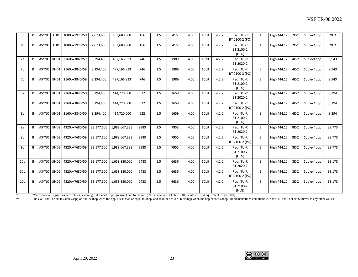| 6 <sub>b</sub>  | B | <b>ASYNC</b> | <b>FHD</b>       | 1080px1920/50 | 2,073,600  | 103,680,000   | 156  | 1.5 | 415  | 4.00 | 10bit | 4:2:2 | Rec. ITU-R<br>BT.2100-2 (PQ)     | Α | High 444.12 | $2K-1$ | Sublev4bpp | 2074   |
|-----------------|---|--------------|------------------|---------------|------------|---------------|------|-----|------|------|-------|-------|----------------------------------|---|-------------|--------|------------|--------|
| 6c              | B | <b>ASYNC</b> | <b>FHD</b>       | 1080px1920/50 | 2,073,600  | 103,680,000   | 156  | 1.5 | 415  | 4.00 | 10bit | 4:2:2 | Rec. ITU-R<br>BT.2100-2<br>(HLG) | A | High 444.12 | $2K-1$ | Sublev4bpp | 2074   |
| 7a              | B | <b>ASYNC</b> | UHD1             | 2160px3840/59 | 8,294,400  | 497,166,833   | 746  | 1.5 | 1989 | 4.00 | 10bit | 4:2:2 | Rec. ITU-R<br>BT.2020-2          | B | High 444.12 | $4K-2$ | Sublev4bpp | 9,943  |
| 7b              | B | <b>ASYNC</b> | UHD1             | 2160px3840/59 | 8,294,400  | 497,166,833   | 746  | 1.5 | 1989 | 4.00 | 10bit | 4:2:2 | Rec. ITU-R<br>BT.2100-2 (PQ)     | B | High 444.12 | $4K-2$ | Sublev4bpp | 9,943  |
| 7c              | B | ASYNC UHD1   |                  | 2160px3840/59 | 8,294,400  | 497,166,833   | 746  | 1.5 | 1989 | 4.00 | 10bit | 4:2:2 | Rec. ITU-R<br>BT.2100-2<br>(HLG) | B | High 444.12 | $4K-2$ | Sublev4bpp | 9,943  |
| 8a              | B | <b>ASYNC</b> | UHD1             | 2160px3840/50 | 8,294,400  | 414,720,000   | 622  | 1.5 | 1659 | 4.00 | 10bit | 4:2:2 | Rec. ITU-R<br>BT.2020-2          | B | High 444.12 | $4K-2$ | Sublev4bpp | 8,294  |
| 8b              | B | <b>ASYNC</b> | UHD1             | 2160px3840/50 | 8,294,400  | 414,720,000   | 622  | 1.5 | 1659 | 4.00 | 10bit | 4:2:2 | Rec. ITU-R<br>BT.2100-2 (PQ)     | B | High 444.12 | $4K-2$ | Sublev4bpp | 8,294  |
| 8c              | B | ASYNC UHD1   |                  | 2160px3840/50 | 8,294,400  | 414,720,000   | 622  | 1.5 | 1659 | 4.00 | 10bit | 4:2:2 | Rec. ITU-R<br>BT.2100-2<br>(HLG) | B | High 444.12 | $4K-2$ | Sublev4bpp | 8,294  |
| 9a              | B | ASYNC UHD2   |                  | 4320px7680/59 | 33.177.600 | 1,988,667,333 | 2983 | 1.5 | 7955 | 4.00 | 10bit | 4:2:2 | Rec. ITU-R<br>BT.2020-2          | B | High 444.12 | $8K-2$ | Sublev4bpp | 39.773 |
| 9b              | B | <b>ASYNC</b> | UHD <sub>2</sub> | 4320px7680/59 | 33,177,600 | 1,988,667,333 | 2983 | 1.5 | 7955 | 4.00 | 10bit | 4:2:2 | Rec. ITU-R<br>BT.2100-2 (PQ)     | B | High 444.12 | 8K-2   | Sublev4bpp | 39,773 |
| 9c              | B | ASYNC UHD2   |                  | 4320px7680/59 | 33,177,600 | 1,988,667,333 | 2983 | 1.5 | 7955 | 4.00 | 10bit | 4:2:2 | Rec. ITU-R<br>BT.2100-2<br>(HLG) | B | High 444.12 | 8K-2   | Sublev4bpp | 39,773 |
| 10a             | B | ASYNC UHD2   |                  | 4320px7680/50 | 33,177,600 | 1,658,880,000 | 2488 | 1.5 | 6636 | 4.00 | 10bit | 4:2:2 | Rec. ITU-R<br>BT.2020-2          | В | High 444.12 | $8K-2$ | Sublev4bpp | 33,178 |
| 10 <sub>b</sub> | B | ASYNC UHD2   |                  | 4320px7680/50 | 33,177,600 | 1,658,880,000 | 2488 | 1.5 | 6636 | 4.00 | 10bit | 4:2:2 | Rec. ITU-R<br>BT.2100-2 (PQ)     | B | High 444.12 | 8K-2   | Sublev4bpp | 33,178 |
| 10 <sub>c</sub> | В | ASYNC UHD2   |                  | 4320px7680/50 | 33,177,600 | 1,658,880,000 | 2488 | 1.5 | 6636 | 4.00 | 10bit | 4:2:2 | Rec. ITU-R<br>BT.2100-2<br>(HLG) | B | High 444.12 | 8K-2   | Sublev4bpp | 33,178 |

\* "Video format is given as active lines, scanning (interlaced or progressive) and frame rate (59.9 is equivalent to 60/1.001, while 29.97 is equivalent to 30/1.001)

\*\* Sublevel: shall be set to Sublev3bpp or Sublev4bpp when the bpp is less than or equal to 3bpp, and shall be set to Sublev4bpp when the bpp exceeds 3bpp. Implementations compliant with this TR shall not set Sublevel to a

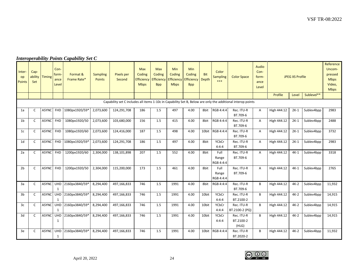# *Interoperability Points Capability Set C*

| Inter-<br>op<br><b>Points</b> | Cap-<br>ability<br>Set | <b>Timing</b> | Con-<br>form-<br>ance<br>Level | Format &<br>Frame Rate* | <b>Sampling</b><br><b>Points</b> | <b>Pixels per</b><br>Second | <b>Max</b><br>Coding<br>Efficiency<br><b>Mbps</b> | <b>Max</b><br>Coding<br><b>Efficiency</b><br><b>Bpp</b> | <b>Min</b><br>Coding<br>Efficiency<br><b>Mbps</b> | <b>Min</b><br>Coding<br>Efficiency<br><b>Bpp</b> | <b>Bit</b><br>Depth | Color<br><b>Sampling</b><br>*** | <b>Color Space</b>                                                                                          | Audio<br>Con-<br>form-<br>ance<br>Level |             | <b>JPEG XS Profile</b> |            | Reference<br>Uncom-<br>pressed<br><b>Mbps</b><br>Video,<br><b>Mbps</b> |
|-------------------------------|------------------------|---------------|--------------------------------|-------------------------|----------------------------------|-----------------------------|---------------------------------------------------|---------------------------------------------------------|---------------------------------------------------|--------------------------------------------------|---------------------|---------------------------------|-------------------------------------------------------------------------------------------------------------|-----------------------------------------|-------------|------------------------|------------|------------------------------------------------------------------------|
|                               |                        |               |                                |                         |                                  |                             |                                                   |                                                         |                                                   |                                                  |                     |                                 |                                                                                                             |                                         | Profile     | Level                  | Sublevel** |                                                                        |
|                               |                        |               |                                |                         |                                  |                             |                                                   |                                                         |                                                   |                                                  |                     |                                 | Capability set C includes all items 1-10c in Capability Set B, Below are only the additional interop points |                                         |             |                        |            |                                                                        |
| 1a                            | $\mathsf{C}$           | <b>ASYNC</b>  | <b>FHD</b>                     | 1080px1920/59*          | 2,073,600                        | 124,291,708                 | 186                                               | 1.5                                                     | 497                                               | 4.00                                             | 8bit                | RGB 4:4:4                       | Rec. ITU-R<br>BT.709-6                                                                                      | A                                       | High 444.12 | $2K-1$                 | Sublev4bpp | 2983                                                                   |
| 1 <sub>b</sub>                | $\mathsf{C}$           | <b>ASYNC</b>  | <b>FHD</b>                     | 1080px1920/50           | 2,073,600                        | 103,680,000                 | 156                                               | 1.5                                                     | 415                                               | 4.00                                             | 8bit                | RGB 4:4:4                       | Rec. ITU-R<br>BT.709-6                                                                                      | Α                                       | High 444.12 | $2K-1$                 | Sublev4bpp | 2488                                                                   |
| 1 <sub>c</sub>                | $\mathsf{C}$           | <b>ASYNC</b>  | <b>FHD</b>                     | 1080px1920/60           | 2,073,600                        | 124,416,000                 | 187                                               | 1.5                                                     | 498                                               | 4.00                                             | 10bit               | RGB 4:4:4                       | Rec. ITU-R<br>BT.709-6                                                                                      | A                                       | High 444.12 | $2K-1$                 | Sublev4bpp | 3732                                                                   |
| 1 <sub>d</sub>                | $\mathsf{C}$           | <b>ASYNC</b>  | <b>FHD</b>                     | 1080px1920/59*          | 2,073,600                        | 124,291,708                 | 186                                               | 1.5                                                     | 497                                               | 4.00                                             | 8bit                | <b>YCbCr</b><br>4:4:4           | Rec. ITU-R<br>BT.709-6                                                                                      | Α                                       | High 444.12 | $2K-1$                 | Sublev4bpp | 2983                                                                   |
| 2a                            | C                      | <b>ASYNC</b>  | FHD                            | 1200px1920/60           | 2,304,000                        | 138,101,898                 | 207                                               | 1.5                                                     | 552                                               | 4.00                                             | 8bit                | Full<br>Range<br>RGB 4:4:4      | Rec. ITU-R<br>BT.709-6                                                                                      | A                                       | High 444.12 | $4K-1$                 | Sublev4bpp | 3318                                                                   |
| 2 <sub>b</sub>                | $\mathsf{C}$           | <b>ASYNC</b>  | <b>FHD</b>                     | 1200px1920/50           | 2,304,000                        | 115,200,000                 | 173                                               | 1.5                                                     | 461                                               | 4.00                                             | 8bit                | Full<br>Range<br>RGB 4:4:4      | Rec. ITU-R<br>BT.709-6                                                                                      | $\mathsf{A}$                            | High 444.12 | $4K-1$                 | Sublev4bpp | 2765                                                                   |
| 3a                            | $\mathsf{C}$           | <b>ASYNC</b>  | <b>UHD</b><br>1                | 2160px3840/59*          | 8,294,400                        | 497,166,833                 | 746                                               | 1.5                                                     | 1991                                              | 4.00                                             | 8bit                | RGB 4:4:4                       | Rec. ITU-R<br>BT.709-6                                                                                      | B                                       | High 444.12 | $4K-2$                 | Sublev4bpp | 11,932                                                                 |
| 3 <sub>b</sub>                | $\mathsf{C}$           | <b>ASYNC</b>  | <b>UHD</b><br>1                | 2160px3840/59*          | 8,294,400                        | 497,166,833                 | 746                                               | 1.5                                                     | 1991                                              | 4.00                                             | 10bit               | YCbCr<br>4:4:4                  | Rec. ITU-R<br>BT.2100-2                                                                                     | B                                       | High 444.12 | $4K-2$                 | Sublev4bpp | 14,915                                                                 |
| 3c                            | $\mathsf{C}$           | <b>ASYNC</b>  | <b>UHD</b><br>1                | 2160px3840/59*          | 8,294,400                        | 497,166,833                 | 746                                               | 1.5                                                     | 1991                                              | 4.00                                             | 10bit               | <b>YCbCr</b><br>4:4:4           | Rec. ITU-R<br>BT.2100-2 (PQ)                                                                                | B.                                      | High 444.12 | $4K-2$                 | Sublev4bpp | 14,915                                                                 |
| 3d                            | $\mathsf{C}$           | <b>ASYNC</b>  | <b>UHD</b><br>1                | 2160px3840/59*          | 8,294,400                        | 497,166,833                 | 746                                               | 1.5                                                     | 1991                                              | 4.00                                             | 10bit               | <b>YCbCr</b><br>4:4:4           | Rec. ITU-R<br>BT.2100-2<br>(HLG)                                                                            | B                                       | High 444.12 | $4K-2$                 | Sublev4bpp | 14,915                                                                 |
| 3e                            | C                      | <b>ASYNC</b>  | <b>UHD</b><br>1                | 2160px3840/59*          | 8,294,400                        | 497,166,833                 | 746                                               | 1.5                                                     | 1991                                              | 4.00                                             | 10bit               | RGB 4:4:4                       | Rec. ITU-R<br>BT.2020-2                                                                                     | B                                       | High 444.12 | $4K-2$                 | Sublev4bpp | 11,932                                                                 |

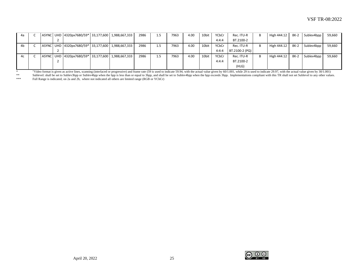| 4а |  | ASYNC   UHD   4320px7680/59*   33,177,600   1,988,667,333 |  | 2986 | 1.5 | 7963 | 4.00 | 10bit | YCbCr | Rec. ITU-R     | В | High 444.12 | 8K-2   | Sublev4bpp | 59,660 |
|----|--|-----------------------------------------------------------|--|------|-----|------|------|-------|-------|----------------|---|-------------|--------|------------|--------|
|    |  |                                                           |  |      |     |      |      |       | 4:4:4 | BT.2100-2      |   |             |        |            |        |
| 4b |  | ASYNC   UHD   4320px7680/59*   33,177,600   1,988,667,333 |  | 2986 | 1.5 | 7963 | 4.00 | 10bit | YCbCr | Rec. ITU-R     |   | High 444.12 | 8K-2   | Sublev4bpp | 59,660 |
|    |  |                                                           |  |      |     |      |      |       | 4:4:4 | BT.2100-2 (PQ) |   |             |        |            |        |
| 4c |  | ASYNC UHD 4320px7680/59* 33,177,600 1,988,667,333         |  | 2986 | 1.5 | 7963 | 4.00 | 10bit | YCbCr | Rec. ITU-R     |   | High 444.12 | $8K-2$ | Sublev4bpp | 59,660 |
|    |  |                                                           |  |      |     |      |      |       | 4:4:4 | BT.2100-2      |   |             |        |            |        |
|    |  |                                                           |  |      |     |      |      |       |       | (HLG)          |   |             |        |            |        |

Video format is given as active lines, scanning (interlaced or progressive) and frame rate (59 is used to indicate 59.94, with the actual value given by 60/1.001, while 29 is used to indicate 29.97, with the actual value g

Eublevel: shall be set to Sublev3bpp or Sublev4bpp when the bpp is less than or equal to 3bpp, and shall be set to Sublev4bpp when the bpp exceeds 3bpp. Implementations compliant with this TR shall not set Sublevel to any Full Range is indicated, on 2a and 2b, where not indicated all others are limited range (RGB or YCbCr)